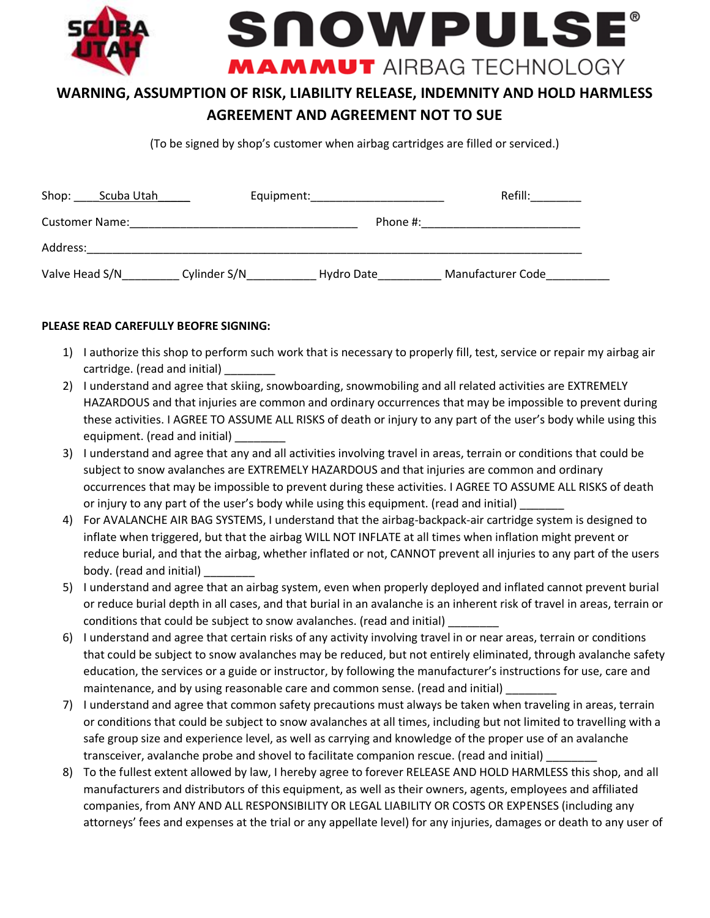

## **WARNING, ASSUMPTION OF RISK, LIABILITY RELEASE, INDEMNITY AND HOLD HARMLESS AGREEMENT AND AGREEMENT NOT TO SUE**

(To be signed by shop's customer when airbag cartridges are filled or serviced.)

| Shop:<br>Scuba Utah   | Equipment:   |            | Refill:           |
|-----------------------|--------------|------------|-------------------|
| <b>Customer Name:</b> |              | Phone #:   |                   |
| Address:              |              |            |                   |
| Valve Head S/N        | Cylinder S/N | Hydro Date | Manufacturer Code |

## **PLEASE READ CAREFULLY BEOFRE SIGNING:**

- 1) I authorize this shop to perform such work that is necessary to properly fill, test, service or repair my airbag air cartridge. (read and initial) \_\_\_\_\_\_\_\_
- 2) I understand and agree that skiing, snowboarding, snowmobiling and all related activities are EXTREMELY HAZARDOUS and that injuries are common and ordinary occurrences that may be impossible to prevent during these activities. I AGREE TO ASSUME ALL RISKS of death or injury to any part of the user's body while using this equipment. (read and initial) \_\_\_\_\_\_\_\_
- 3) I understand and agree that any and all activities involving travel in areas, terrain or conditions that could be subject to snow avalanches are EXTREMELY HAZARDOUS and that injuries are common and ordinary occurrences that may be impossible to prevent during these activities. I AGREE TO ASSUME ALL RISKS of death or injury to any part of the user's body while using this equipment. (read and initial)
- 4) For AVALANCHE AIR BAG SYSTEMS, I understand that the airbag-backpack-air cartridge system is designed to inflate when triggered, but that the airbag WILL NOT INFLATE at all times when inflation might prevent or reduce burial, and that the airbag, whether inflated or not, CANNOT prevent all injuries to any part of the users body. (read and initial) \_\_\_\_\_\_\_\_
- 5) I understand and agree that an airbag system, even when properly deployed and inflated cannot prevent burial or reduce burial depth in all cases, and that burial in an avalanche is an inherent risk of travel in areas, terrain or conditions that could be subject to snow avalanches. (read and initial)
- 6) I understand and agree that certain risks of any activity involving travel in or near areas, terrain or conditions that could be subject to snow avalanches may be reduced, but not entirely eliminated, through avalanche safety education, the services or a guide or instructor, by following the manufacturer's instructions for use, care and maintenance, and by using reasonable care and common sense. (read and initial) \_
- 7) I understand and agree that common safety precautions must always be taken when traveling in areas, terrain or conditions that could be subject to snow avalanches at all times, including but not limited to travelling with a safe group size and experience level, as well as carrying and knowledge of the proper use of an avalanche transceiver, avalanche probe and shovel to facilitate companion rescue. (read and initial) \_
- 8) To the fullest extent allowed by law, I hereby agree to forever RELEASE AND HOLD HARMLESS this shop, and all manufacturers and distributors of this equipment, as well as their owners, agents, employees and affiliated companies, from ANY AND ALL RESPONSIBILITY OR LEGAL LIABILITY OR COSTS OR EXPENSES (including any attorneys' fees and expenses at the trial or any appellate level) for any injuries, damages or death to any user of